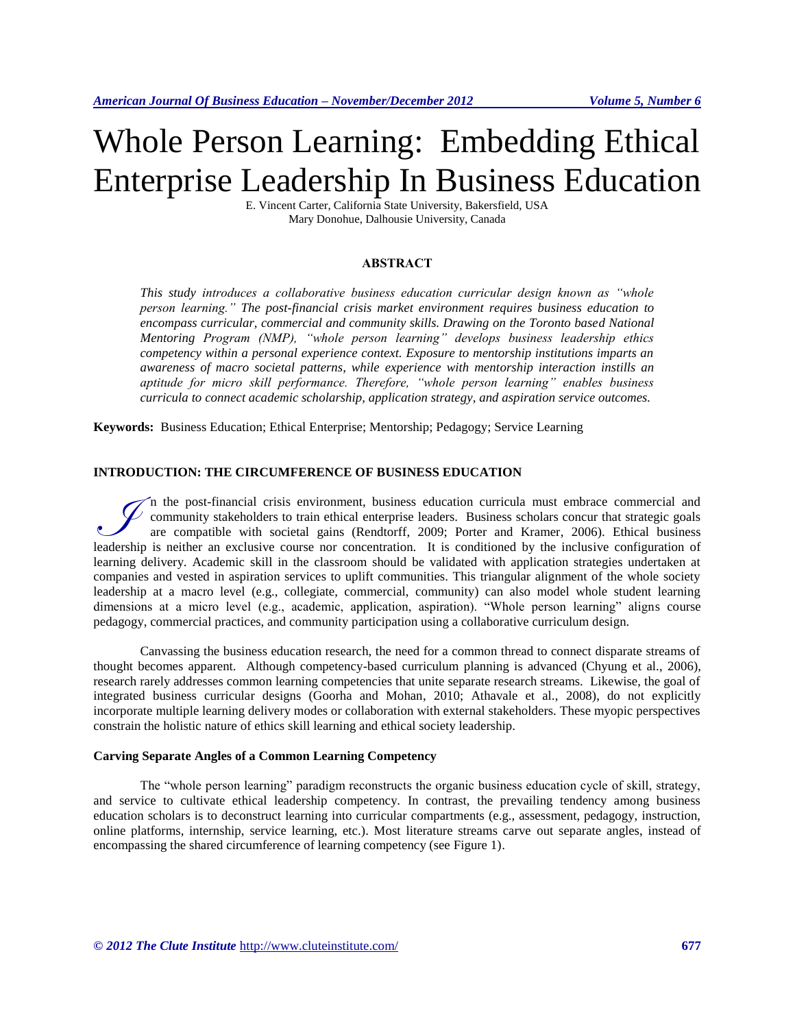# Whole Person Learning: Embedding Ethical Enterprise Leadership In Business Education

E. Vincent Carter, California State University, Bakersfield, USA Mary Donohue, Dalhousie University, Canada

#### **ABSTRACT**

*This study introduces a collaborative business education curricular design known as "whole person learning." The post-financial crisis market environment requires business education to*  encompass curricular, commercial and community skills. Drawing on the Toronto based National *Mentoring Program (NMP), "whole person learning" develops business leadership ethics competency within a personal experience context. Exposure to mentorship institutions imparts an awareness of macro societal patterns, while experience with mentorship interaction instills an aptitude for micro skill performance. Therefore, "whole person learning" enables business curricula to connect academic scholarship, application strategy, and aspiration service outcomes.* 

**Keywords:** Business Education; Ethical Enterprise; Mentorship; Pedagogy; Service Learning

# **INTRODUCTION: THE CIRCUMFERENCE OF BUSINESS EDUCATION**

n the post-financial crisis environment, business education curricula must embrace commercial and  $\vee$  community stakeholders to train ethical enterprise leaders. Business scholars concur that strategic goals are compatible with societal gains (Rendtorff, 2009; Porter and Kramer, 2006). Ethical business If the post-financial crisis environment, business education curricula must embrace commercial and community stakeholders to train ethical enterprise leaders. Business scholars concur that strategic goals are compatible wi learning delivery. Academic skill in the classroom should be validated with application strategies undertaken at companies and vested in aspiration services to uplift communities. This triangular alignment of the whole society leadership at a macro level (e.g., collegiate, commercial, community) can also model whole student learning dimensions at a micro level (e.g., academic, application, aspiration). "Whole person learning" aligns course pedagogy, commercial practices, and community participation using a collaborative curriculum design.

Canvassing the business education research, the need for a common thread to connect disparate streams of thought becomes apparent. Although competency-based curriculum planning is advanced (Chyung et al., 2006), research rarely addresses common learning competencies that unite separate research streams. Likewise, the goal of integrated business curricular designs (Goorha and Mohan, 2010; Athavale et al., 2008), do not explicitly incorporate multiple learning delivery modes or collaboration with external stakeholders. These myopic perspectives constrain the holistic nature of ethics skill learning and ethical society leadership.

#### **Carving Separate Angles of a Common Learning Competency**

The "whole person learning" paradigm reconstructs the organic business education cycle of skill, strategy, and service to cultivate ethical leadership competency. In contrast, the prevailing tendency among business education scholars is to deconstruct learning into curricular compartments (e.g., assessment, pedagogy, instruction, online platforms, internship, service learning, etc.). Most literature streams carve out separate angles, instead of encompassing the shared circumference of learning competency (see Figure 1).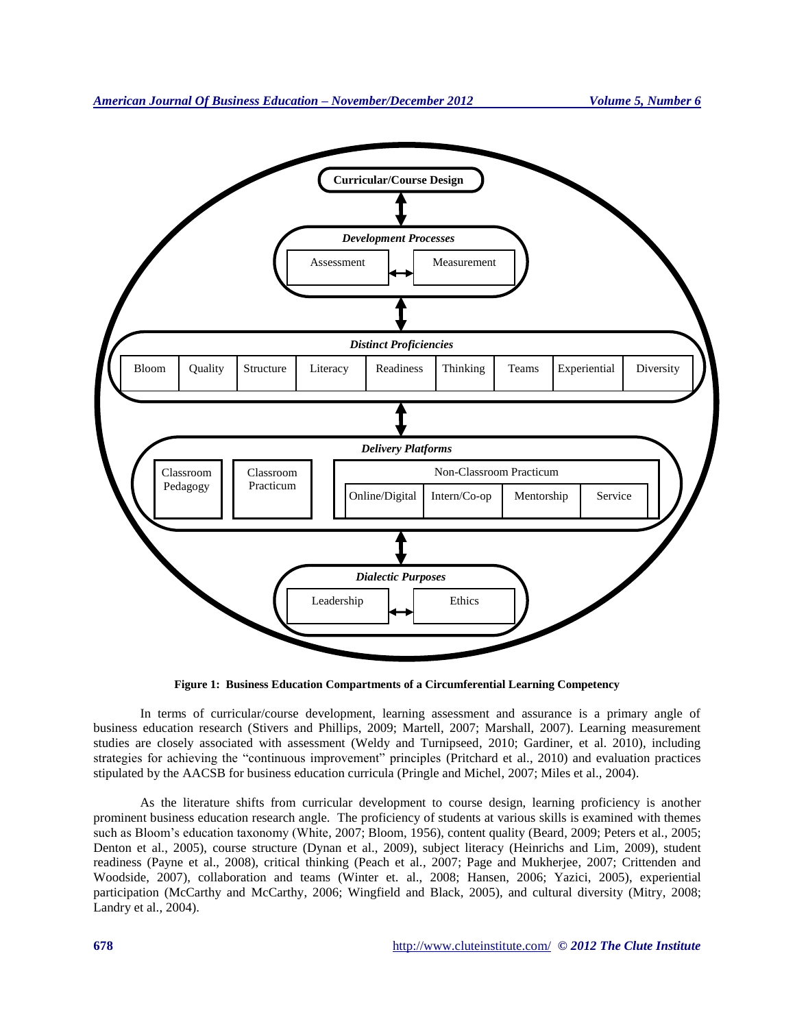

**Figure 1: Business Education Compartments of a Circumferential Learning Competency**

In terms of curricular/course development, learning assessment and assurance is a primary angle of business education research (Stivers and Phillips, 2009; Martell, 2007; Marshall, 2007). Learning measurement studies are closely associated with assessment (Weldy and Turnipseed, 2010; Gardiner, et al. 2010), including strategies for achieving the "continuous improvement" principles (Pritchard et al., 2010) and evaluation practices stipulated by the AACSB for business education curricula (Pringle and Michel, 2007; Miles et al., 2004).

As the literature shifts from curricular development to course design, learning proficiency is another prominent business education research angle. The proficiency of students at various skills is examined with themes such as Bloom's education taxonomy (White, 2007; Bloom, 1956), content quality (Beard, 2009; Peters et al., 2005; Denton et al., 2005), course structure (Dynan et al., 2009), subject literacy (Heinrichs and Lim, 2009), student readiness (Payne et al., 2008), critical thinking (Peach et al., 2007; Page and Mukherjee, 2007; Crittenden and Woodside, 2007), collaboration and teams (Winter et. al., 2008; Hansen, 2006; Yazici, 2005), experiential participation (McCarthy and McCarthy, 2006; Wingfield and Black, 2005), and cultural diversity (Mitry, 2008; Landry et al., 2004).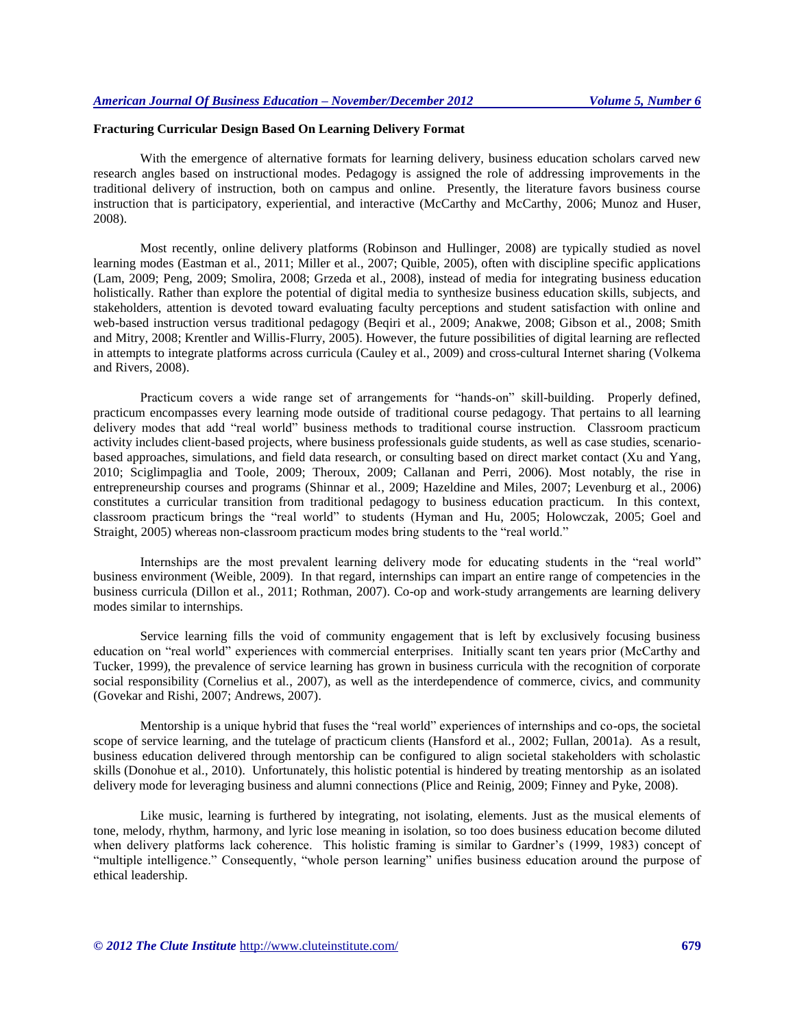## **Fracturing Curricular Design Based On Learning Delivery Format**

With the emergence of alternative formats for learning delivery, business education scholars carved new research angles based on instructional modes. Pedagogy is assigned the role of addressing improvements in the traditional delivery of instruction, both on campus and online. Presently, the literature favors business course instruction that is participatory, experiential, and interactive (McCarthy and McCarthy, 2006; Munoz and Huser, 2008).

Most recently, online delivery platforms (Robinson and Hullinger, 2008) are typically studied as novel learning modes (Eastman et al., 2011; Miller et al., 2007; Quible, 2005), often with discipline specific applications (Lam, 2009; Peng, 2009; Smolira, 2008; Grzeda et al., 2008), instead of media for integrating business education holistically. Rather than explore the potential of digital media to synthesize business education skills, subjects, and stakeholders, attention is devoted toward evaluating faculty perceptions and student satisfaction with online and web-based instruction versus traditional pedagogy (Beqiri et al., 2009; Anakwe, 2008; Gibson et al., 2008; Smith and Mitry, 2008; Krentler and Willis-Flurry, 2005). However, the future possibilities of digital learning are reflected in attempts to integrate platforms across curricula (Cauley et al., 2009) and cross-cultural Internet sharing (Volkema and Rivers, 2008).

Practicum covers a wide range set of arrangements for "hands-on" skill-building. Properly defined, practicum encompasses every learning mode outside of traditional course pedagogy. That pertains to all learning delivery modes that add "real world" business methods to traditional course instruction. Classroom practicum activity includes client-based projects, where business professionals guide students, as well as case studies, scenariobased approaches, simulations, and field data research, or consulting based on direct market contact (Xu and Yang, 2010; Sciglimpaglia and Toole, 2009; Theroux, 2009; Callanan and Perri, 2006). Most notably, the rise in entrepreneurship courses and programs (Shinnar et al., 2009; Hazeldine and Miles, 2007; Levenburg et al., 2006) constitutes a curricular transition from traditional pedagogy to business education practicum. In this context, classroom practicum brings the "real world" to students (Hyman and Hu, 2005; Holowczak, 2005; Goel and Straight, 2005) whereas non-classroom practicum modes bring students to the "real world."

Internships are the most prevalent learning delivery mode for educating students in the "real world" business environment (Weible, 2009). In that regard, internships can impart an entire range of competencies in the business curricula (Dillon et al., 2011; Rothman, 2007). Co-op and work-study arrangements are learning delivery modes similar to internships.

Service learning fills the void of community engagement that is left by exclusively focusing business education on "real world" experiences with commercial enterprises. Initially scant ten years prior (McCarthy and Tucker, 1999), the prevalence of service learning has grown in business curricula with the recognition of corporate social responsibility (Cornelius et al., 2007), as well as the interdependence of commerce, civics, and community (Govekar and Rishi, 2007; Andrews, 2007).

Mentorship is a unique hybrid that fuses the "real world" experiences of internships and co-ops, the societal scope of service learning, and the tutelage of practicum clients (Hansford et al., 2002; Fullan, 2001a). As a result, business education delivered through mentorship can be configured to align societal stakeholders with scholastic skills (Donohue et al., 2010). Unfortunately, this holistic potential is hindered by treating mentorship as an isolated delivery mode for leveraging business and alumni connections (Plice and Reinig, 2009; Finney and Pyke, 2008).

Like music, learning is furthered by integrating, not isolating, elements. Just as the musical elements of tone, melody, rhythm, harmony, and lyric lose meaning in isolation, so too does business education become diluted when delivery platforms lack coherence. This holistic framing is similar to Gardner's (1999, 1983) concept of "multiple intelligence." Consequently, "whole person learning" unifies business education around the purpose of ethical leadership.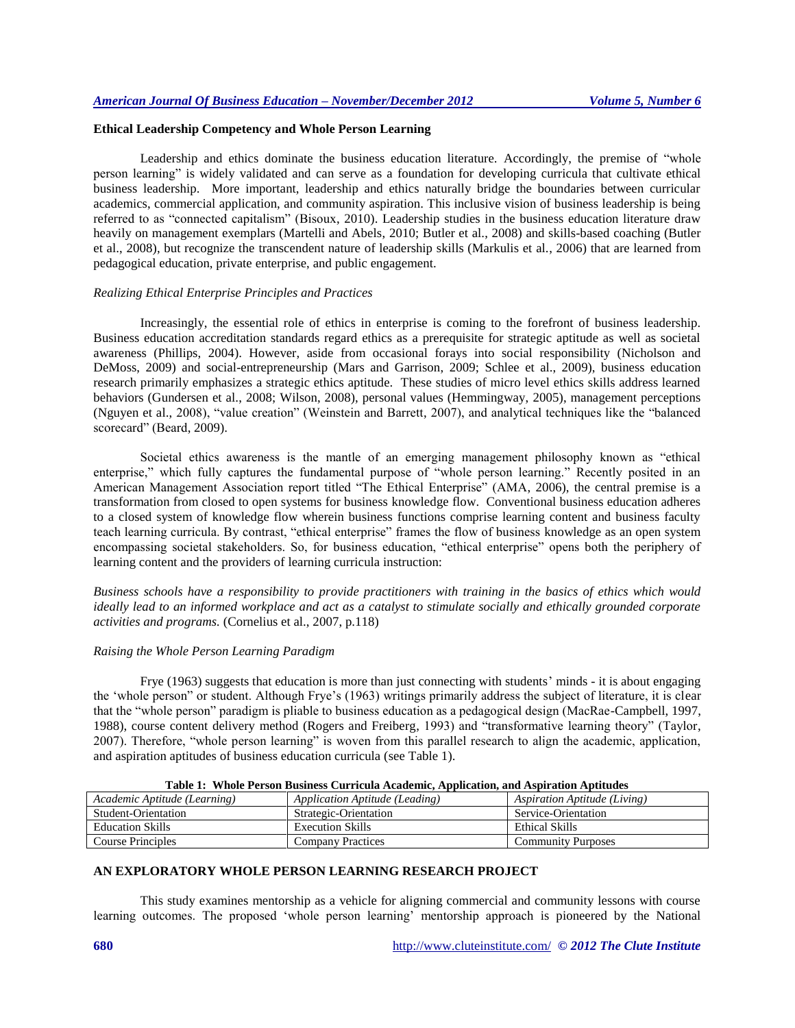#### **Ethical Leadership Competency and Whole Person Learning**

Leadership and ethics dominate the business education literature. Accordingly, the premise of "whole person learning" is widely validated and can serve as a foundation for developing curricula that cultivate ethical business leadership. More important, leadership and ethics naturally bridge the boundaries between curricular academics, commercial application, and community aspiration. This inclusive vision of business leadership is being referred to as "connected capitalism" (Bisoux, 2010). Leadership studies in the business education literature draw heavily on management exemplars (Martelli and Abels, 2010; Butler et al., 2008) and skills-based coaching (Butler et al., 2008), but recognize the transcendent nature of leadership skills (Markulis et al., 2006) that are learned from pedagogical education, private enterprise, and public engagement.

# *Realizing Ethical Enterprise Principles and Practices*

Increasingly, the essential role of ethics in enterprise is coming to the forefront of business leadership. Business education accreditation standards regard ethics as a prerequisite for strategic aptitude as well as societal awareness (Phillips, 2004). However, aside from occasional forays into social responsibility (Nicholson and DeMoss, 2009) and social-entrepreneurship (Mars and Garrison, 2009; Schlee et al., 2009), business education research primarily emphasizes a strategic ethics aptitude. These studies of micro level ethics skills address learned behaviors (Gundersen et al., 2008; Wilson, 2008), personal values (Hemmingway, 2005), management perceptions (Nguyen et al., 2008), "value creation" (Weinstein and Barrett, 2007), and analytical techniques like the "balanced scorecard" (Beard, 2009).

Societal ethics awareness is the mantle of an emerging management philosophy known as "ethical enterprise," which fully captures the fundamental purpose of "whole person learning." Recently posited in an American Management Association report titled "The Ethical Enterprise" (AMA, 2006), the central premise is a transformation from closed to open systems for business knowledge flow. Conventional business education adheres to a closed system of knowledge flow wherein business functions comprise learning content and business faculty teach learning curricula. By contrast, "ethical enterprise" frames the flow of business knowledge as an open system encompassing societal stakeholders. So, for business education, "ethical enterprise" opens both the periphery of learning content and the providers of learning curricula instruction:

*Business schools have a responsibility to provide practitioners with training in the basics of ethics which would ideally lead to an informed workplace and act as a catalyst to stimulate socially and ethically grounded corporate activities and programs.* (Cornelius et al., 2007, p.118)

## *Raising the Whole Person Learning Paradigm*

Frye (1963) suggests that education is more than just connecting with students' minds - it is about engaging the 'whole person" or student. Although Frye's (1963) writings primarily address the subject of literature, it is clear that the "whole person" paradigm is pliable to business education as a pedagogical design (MacRae-Campbell, 1997, 1988), course content delivery method (Rogers and Freiberg, 1993) and "transformative learning theory" (Taylor, 2007). Therefore, "whole person learning" is woven from this parallel research to align the academic, application, and aspiration aptitudes of business education curricula (see Table 1).

| Table 1: Whole Person Dusiness Curricula Academic, Application, and Aspiration Aptitudes |                              |
|------------------------------------------------------------------------------------------|------------------------------|
| Application Aptitude (Leading)                                                           | Aspiration Aptitude (Living) |
| Strategic-Orientation                                                                    | Service-Orientation          |
| <b>Execution Skills</b>                                                                  | Ethical Skills               |
| <b>Company Practices</b>                                                                 | <b>Community Purposes</b>    |
|                                                                                          |                              |

**Table 1: Whole Person Business Curricula Academic, Application, and Aspiration Aptitudes**

#### **AN EXPLORATORY WHOLE PERSON LEARNING RESEARCH PROJECT**

This study examines mentorship as a vehicle for aligning commercial and community lessons with course learning outcomes. The proposed 'whole person learning' mentorship approach is pioneered by the National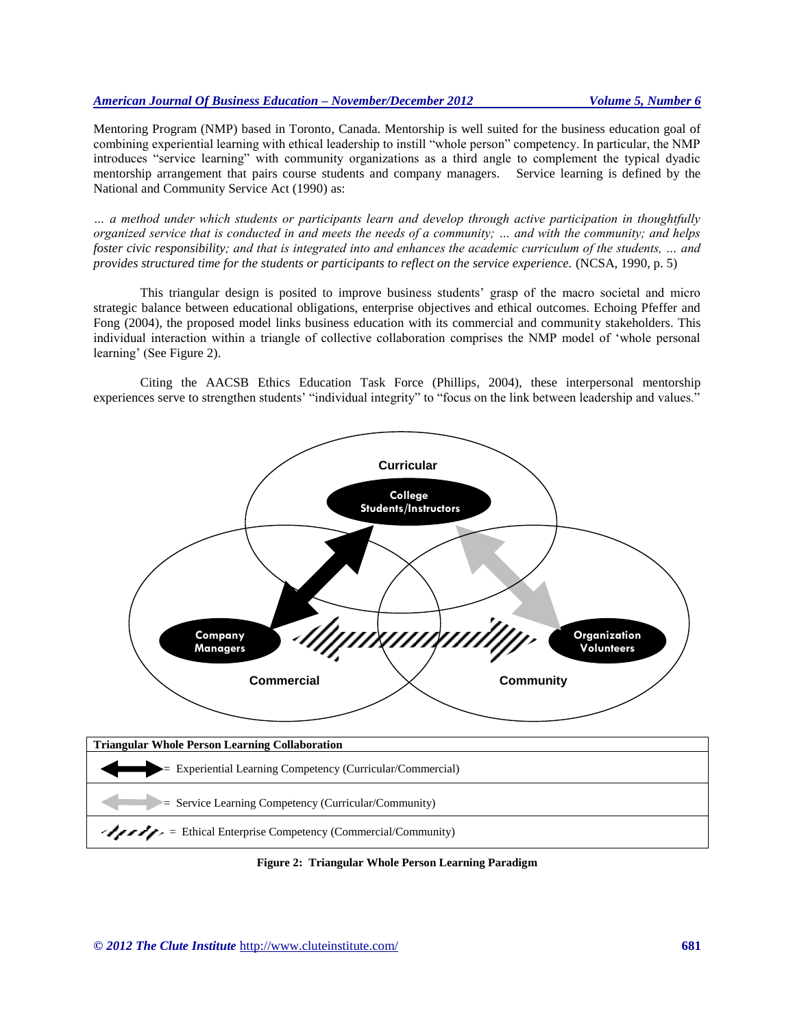Mentoring Program (NMP) based in Toronto, Canada. Mentorship is well suited for the business education goal of combining experiential learning with ethical leadership to instill "whole person" competency. In particular, the NMP introduces "service learning" with community organizations as a third angle to complement the typical dyadic mentorship arrangement that pairs course students and company managers. Service learning is defined by the National and Community Service Act (1990) as:

*… a method under which students or participants learn and develop through active participation in thoughtfully organized service that is conducted in and meets the needs of a community; … and with the community; and helps foster civic responsibility; and that is integrated into and enhances the academic curriculum of the students, … and provides structured time for the students or participants to reflect on the service experience.* (NCSA, 1990, p. 5)

This triangular design is posited to improve business students' grasp of the macro societal and micro strategic balance between educational obligations, enterprise objectives and ethical outcomes. Echoing Pfeffer and Fong (2004), the proposed model links business education with its commercial and community stakeholders. This individual interaction within a triangle of collective collaboration comprises the NMP model of 'whole personal learning' (See Figure 2).

Citing the AACSB Ethics Education Task Force (Phillips, 2004), these interpersonal mentorship experiences serve to strengthen students' "individual integrity" to "focus on the link between leadership and values."



**Figure 2: Triangular Whole Person Learning Paradigm**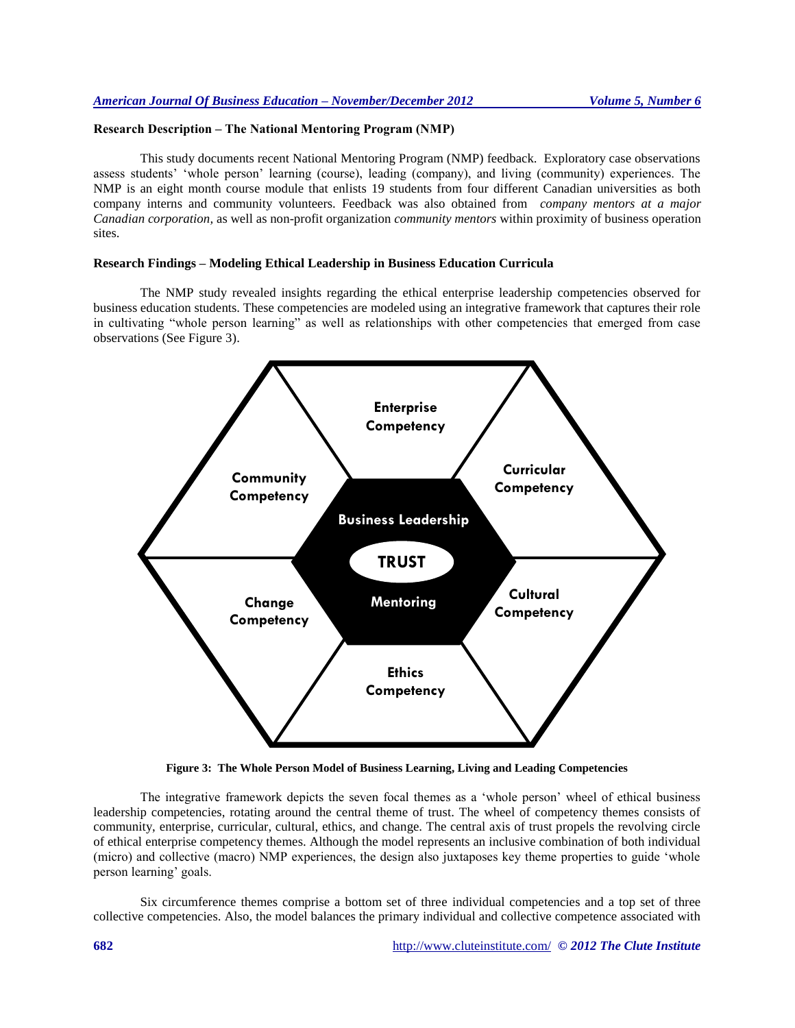# **Research Description – The National Mentoring Program (NMP)**

This study documents recent National Mentoring Program (NMP) feedback. Exploratory case observations assess students' 'whole person' learning (course), leading (company), and living (community) experiences. The NMP is an eight month course module that enlists 19 students from four different Canadian universities as both company interns and community volunteers. Feedback was also obtained from *company mentors at a major Canadian corporation,* as well as non-profit organization *community mentors* within proximity of business operation sites.

# **Research Findings – Modeling Ethical Leadership in Business Education Curricula**

The NMP study revealed insights regarding the ethical enterprise leadership competencies observed for business education students. These competencies are modeled using an integrative framework that captures their role in cultivating "whole person learning" as well as relationships with other competencies that emerged from case observations (See Figure 3).



**Figure 3: The Whole Person Model of Business Learning, Living and Leading Competencies**

The integrative framework depicts the seven focal themes as a 'whole person' wheel of ethical business leadership competencies, rotating around the central theme of trust. The wheel of competency themes consists of community, enterprise, curricular, cultural, ethics, and change. The central axis of trust propels the revolving circle of ethical enterprise competency themes. Although the model represents an inclusive combination of both individual (micro) and collective (macro) NMP experiences, the design also juxtaposes key theme properties to guide 'whole person learning' goals.

Six circumference themes comprise a bottom set of three individual competencies and a top set of three collective competencies. Also, the model balances the primary individual and collective competence associated with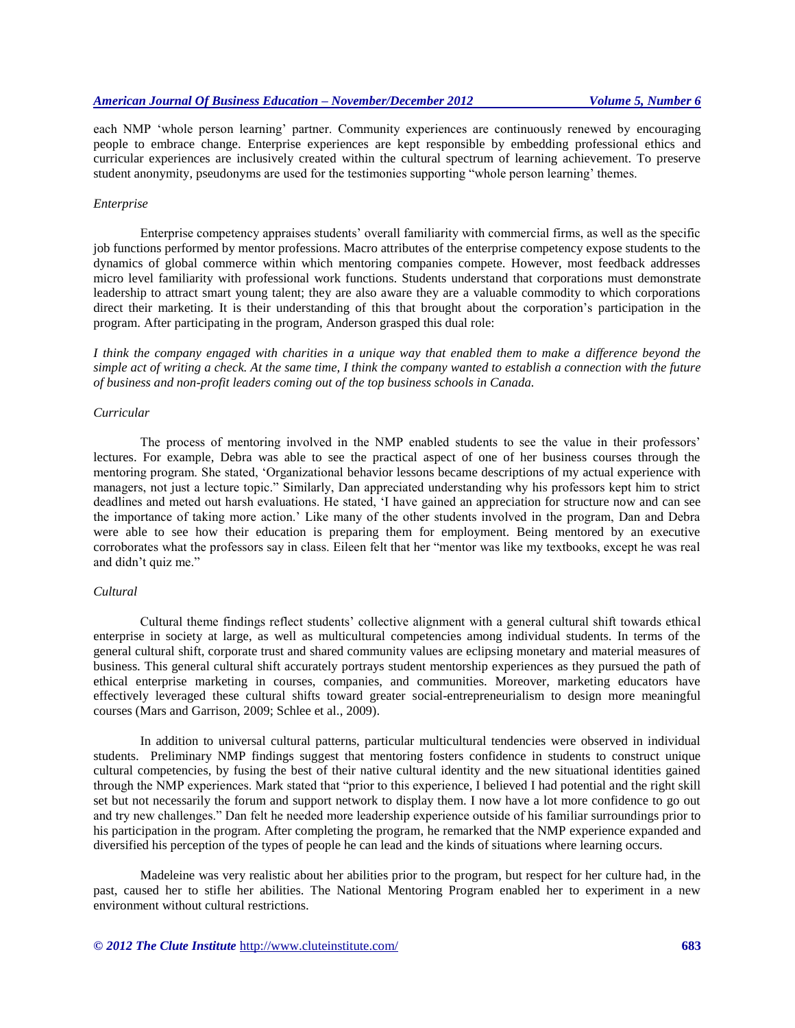each NMP 'whole person learning' partner. Community experiences are continuously renewed by encouraging people to embrace change. Enterprise experiences are kept responsible by embedding professional ethics and curricular experiences are inclusively created within the cultural spectrum of learning achievement. To preserve student anonymity, pseudonyms are used for the testimonies supporting "whole person learning' themes.

#### *Enterprise*

Enterprise competency appraises students' overall familiarity with commercial firms, as well as the specific job functions performed by mentor professions. Macro attributes of the enterprise competency expose students to the dynamics of global commerce within which mentoring companies compete. However, most feedback addresses micro level familiarity with professional work functions. Students understand that corporations must demonstrate leadership to attract smart young talent; they are also aware they are a valuable commodity to which corporations direct their marketing. It is their understanding of this that brought about the corporation's participation in the program. After participating in the program, Anderson grasped this dual role:

*I think the company engaged with charities in a unique way that enabled them to make a difference beyond the simple act of writing a check. At the same time, I think the company wanted to establish a connection with the future of business and non-profit leaders coming out of the top business schools in Canada.*

#### *Curricular*

The process of mentoring involved in the NMP enabled students to see the value in their professors' lectures. For example, Debra was able to see the practical aspect of one of her business courses through the mentoring program. She stated, 'Organizational behavior lessons became descriptions of my actual experience with managers, not just a lecture topic." Similarly, Dan appreciated understanding why his professors kept him to strict deadlines and meted out harsh evaluations. He stated, 'I have gained an appreciation for structure now and can see the importance of taking more action.' Like many of the other students involved in the program, Dan and Debra were able to see how their education is preparing them for employment. Being mentored by an executive corroborates what the professors say in class. Eileen felt that her "mentor was like my textbooks, except he was real and didn't quiz me."

#### *Cultural*

Cultural theme findings reflect students' collective alignment with a general cultural shift towards ethical enterprise in society at large, as well as multicultural competencies among individual students. In terms of the general cultural shift, corporate trust and shared community values are eclipsing monetary and material measures of business. This general cultural shift accurately portrays student mentorship experiences as they pursued the path of ethical enterprise marketing in courses, companies, and communities. Moreover, marketing educators have effectively leveraged these cultural shifts toward greater social-entrepreneurialism to design more meaningful courses (Mars and Garrison, 2009; Schlee et al., 2009).

In addition to universal cultural patterns, particular multicultural tendencies were observed in individual students. Preliminary NMP findings suggest that mentoring fosters confidence in students to construct unique cultural competencies, by fusing the best of their native cultural identity and the new situational identities gained through the NMP experiences. Mark stated that "prior to this experience, I believed I had potential and the right skill set but not necessarily the forum and support network to display them. I now have a lot more confidence to go out and try new challenges." Dan felt he needed more leadership experience outside of his familiar surroundings prior to his participation in the program. After completing the program, he remarked that the NMP experience expanded and diversified his perception of the types of people he can lead and the kinds of situations where learning occurs.

Madeleine was very realistic about her abilities prior to the program, but respect for her culture had, in the past, caused her to stifle her abilities. The National Mentoring Program enabled her to experiment in a new environment without cultural restrictions.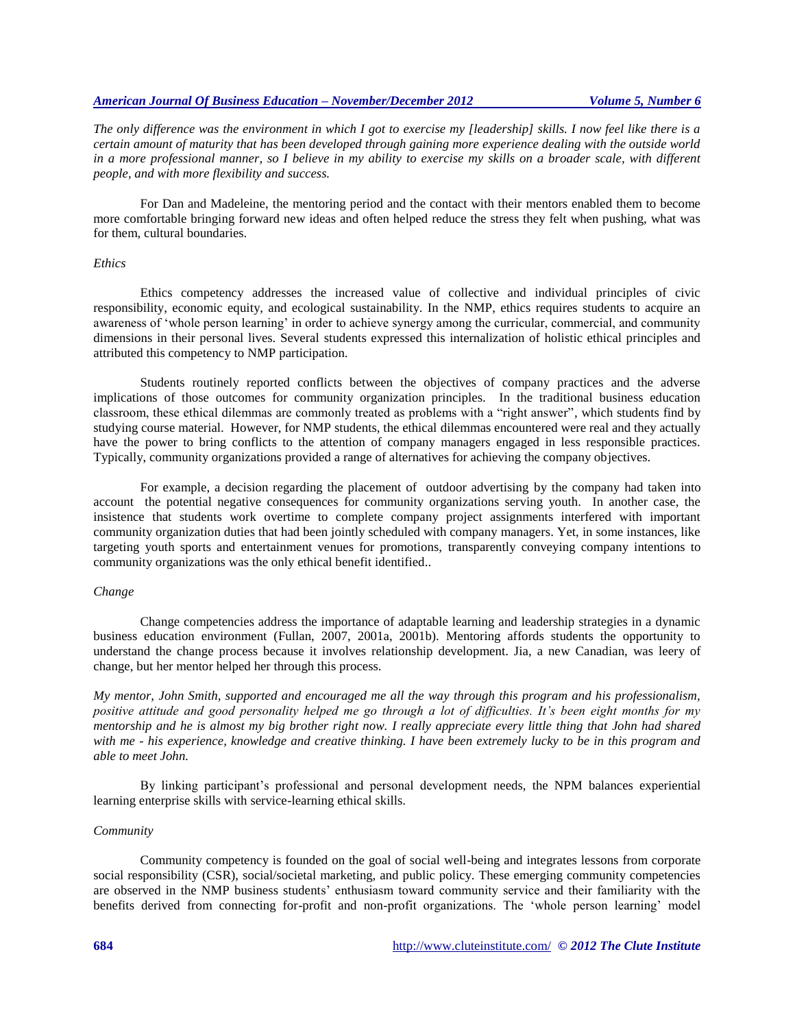*The only difference was the environment in which I got to exercise my [leadership] skills. I now feel like there is a certain amount of maturity that has been developed through gaining more experience dealing with the outside world*  in a more professional manner, so I believe in my ability to exercise my skills on a broader scale, with different *people, and with more flexibility and success.*

For Dan and Madeleine, the mentoring period and the contact with their mentors enabled them to become more comfortable bringing forward new ideas and often helped reduce the stress they felt when pushing, what was for them, cultural boundaries.

#### *Ethics*

Ethics competency addresses the increased value of collective and individual principles of civic responsibility, economic equity, and ecological sustainability. In the NMP, ethics requires students to acquire an awareness of 'whole person learning' in order to achieve synergy among the curricular, commercial, and community dimensions in their personal lives. Several students expressed this internalization of holistic ethical principles and attributed this competency to NMP participation.

Students routinely reported conflicts between the objectives of company practices and the adverse implications of those outcomes for community organization principles. In the traditional business education classroom, these ethical dilemmas are commonly treated as problems with a "right answer", which students find by studying course material. However, for NMP students, the ethical dilemmas encountered were real and they actually have the power to bring conflicts to the attention of company managers engaged in less responsible practices. Typically, community organizations provided a range of alternatives for achieving the company objectives.

For example, a decision regarding the placement of outdoor advertising by the company had taken into account the potential negative consequences for community organizations serving youth. In another case, the insistence that students work overtime to complete company project assignments interfered with important community organization duties that had been jointly scheduled with company managers. Yet, in some instances, like targeting youth sports and entertainment venues for promotions, transparently conveying company intentions to community organizations was the only ethical benefit identified..

#### *Change*

Change competencies address the importance of adaptable learning and leadership strategies in a dynamic business education environment (Fullan, 2007, 2001a, 2001b). Mentoring affords students the opportunity to understand the change process because it involves relationship development. Jia, a new Canadian, was leery of change, but her mentor helped her through this process.

*My mentor, John Smith, supported and encouraged me all the way through this program and his professionalism, positive attitude and good personality helped me go through a lot of difficulties. It's been eight months for my mentorship and he is almost my big brother right now. I really appreciate every little thing that John had shared with me - his experience, knowledge and creative thinking. I have been extremely lucky to be in this program and able to meet John.*

By linking participant's professional and personal development needs, the NPM balances experiential learning enterprise skills with service-learning ethical skills.

#### *Community*

Community competency is founded on the goal of social well-being and integrates lessons from corporate social responsibility (CSR), social/societal marketing, and public policy. These emerging community competencies are observed in the NMP business students' enthusiasm toward community service and their familiarity with the benefits derived from connecting for-profit and non-profit organizations. The 'whole person learning' model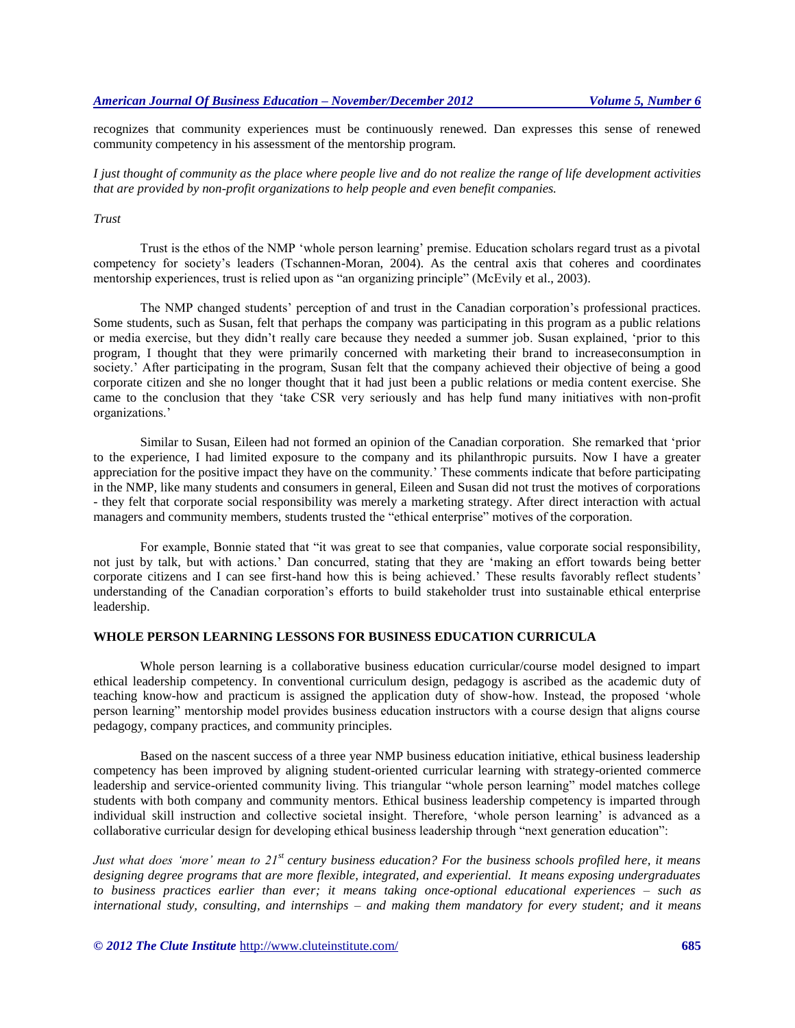recognizes that community experiences must be continuously renewed. Dan expresses this sense of renewed community competency in his assessment of the mentorship program.

*I just thought of community as the place where people live and do not realize the range of life development activities that are provided by non-profit organizations to help people and even benefit companies.*

# *Trust*

Trust is the ethos of the NMP 'whole person learning' premise. Education scholars regard trust as a pivotal competency for society's leaders (Tschannen-Moran, 2004). As the central axis that coheres and coordinates mentorship experiences, trust is relied upon as "an organizing principle" (McEvily et al., 2003).

The NMP changed students' perception of and trust in the Canadian corporation's professional practices. Some students, such as Susan, felt that perhaps the company was participating in this program as a public relations or media exercise, but they didn't really care because they needed a summer job. Susan explained, 'prior to this program, I thought that they were primarily concerned with marketing their brand to increaseconsumption in society.' After participating in the program, Susan felt that the company achieved their objective of being a good corporate citizen and she no longer thought that it had just been a public relations or media content exercise. She came to the conclusion that they 'take CSR very seriously and has help fund many initiatives with non-profit organizations.'

Similar to Susan, Eileen had not formed an opinion of the Canadian corporation. She remarked that 'prior to the experience, I had limited exposure to the company and its philanthropic pursuits. Now I have a greater appreciation for the positive impact they have on the community.' These comments indicate that before participating in the NMP, like many students and consumers in general, Eileen and Susan did not trust the motives of corporations - they felt that corporate social responsibility was merely a marketing strategy. After direct interaction with actual managers and community members, students trusted the "ethical enterprise" motives of the corporation.

For example, Bonnie stated that "it was great to see that companies, value corporate social responsibility, not just by talk, but with actions.' Dan concurred, stating that they are 'making an effort towards being better corporate citizens and I can see first-hand how this is being achieved.' These results favorably reflect students' understanding of the Canadian corporation's efforts to build stakeholder trust into sustainable ethical enterprise leadership.

# **WHOLE PERSON LEARNING LESSONS FOR BUSINESS EDUCATION CURRICULA**

Whole person learning is a collaborative business education curricular/course model designed to impart ethical leadership competency. In conventional curriculum design, pedagogy is ascribed as the academic duty of teaching know-how and practicum is assigned the application duty of show-how. Instead, the proposed 'whole person learning" mentorship model provides business education instructors with a course design that aligns course pedagogy, company practices, and community principles.

Based on the nascent success of a three year NMP business education initiative, ethical business leadership competency has been improved by aligning student-oriented curricular learning with strategy-oriented commerce leadership and service-oriented community living. This triangular "whole person learning" model matches college students with both company and community mentors. Ethical business leadership competency is imparted through individual skill instruction and collective societal insight. Therefore, 'whole person learning' is advanced as a collaborative curricular design for developing ethical business leadership through "next generation education":

*Just what does 'more' mean to 21st century business education? For the business schools profiled here, it means designing degree programs that are more flexible, integrated, and experiential. It means exposing undergraduates to business practices earlier than ever; it means taking once-optional educational experiences – such as international study, consulting, and internships – and making them mandatory for every student; and it means* 

*© 2012 The Clute Institute* http://www.cluteinstitute.com/ **685**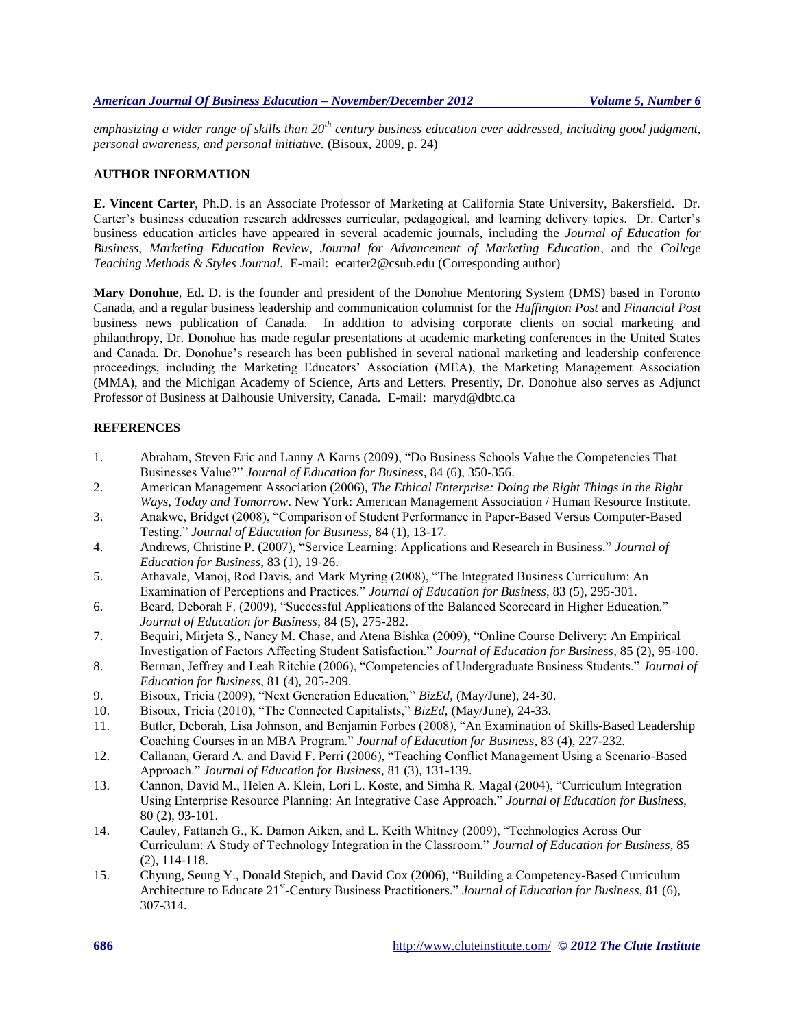*emphasizing a wider range of skills than 20th century business education ever addressed, including good judgment, personal awareness, and personal initiative.* (Bisoux, 2009, p. 24)

#### **AUTHOR INFORMATION**

**E. Vincent Carter**, Ph.D. is an Associate Professor of Marketing at California State University, Bakersfield. Dr. Carter's business education research addresses curricular, pedagogical, and learning delivery topics. Dr. Carter's business education articles have appeared in several academic journals, including the *Journal of Education for Business, Marketing Education Review, Journal for Advancement of Marketing Education*, and the *College Teaching Methods & Styles Journal.* E-mail: [ecarter2@csub.edu](mailto:ecarter2@csub.edu) (Corresponding author)

**Mary Donohue**, Ed. D. is the founder and president of the Donohue Mentoring System (DMS) based in Toronto Canada, and a regular business leadership and communication columnist for the *Huffington Post* and *Financial Post* business news publication of Canada. In addition to advising corporate clients on social marketing and philanthropy, Dr. Donohue has made regular presentations at academic marketing conferences in the United States and Canada. Dr. Donohue's research has been published in several national marketing and leadership conference proceedings, including the Marketing Educators' Association (MEA), the Marketing Management Association (MMA), and the Michigan Academy of Science, Arts and Letters. Presently, Dr. Donohue also serves as Adjunct Professor of Business at Dalhousie University, Canada. E-mail: [maryd@dbtc.ca](mailto:maryd@dbtc.ca)

# **REFERENCES**

- 1. Abraham, Steven Eric and Lanny A Karns (2009), "Do Business Schools Value the Competencies That Businesses Value?" *Journal of Education for Business*, 84 (6), 350-356.
- 2. American Management Association (2006), *The Ethical Enterprise: Doing the Right Things in the Right Ways, Today and Tomorrow*. New York: American Management Association / Human Resource Institute.
- 3. Anakwe, Bridget (2008), "Comparison of Student Performance in Paper-Based Versus Computer-Based Testing." *Journal of Education for Business*, 84 (1), 13-17.
- 4. Andrews, Christine P. (2007), "Service Learning: Applications and Research in Business." *Journal of Education for Business*, 83 (1), 19-26.
- 5. Athavale, Manoj, Rod Davis, and Mark Myring (2008), "The Integrated Business Curriculum: An Examination of Perceptions and Practices." *Journal of Education for Business*, 83 (5), 295-301.
- 6. Beard, Deborah F. (2009), "Successful Applications of the Balanced Scorecard in Higher Education." *Journal of Education for Business*, 84 (5), 275-282.
- 7. Bequiri, Mirjeta S., Nancy M. Chase, and Atena Bishka (2009), "Online Course Delivery: An Empirical Investigation of Factors Affecting Student Satisfaction." *Journal of Education for Business*, 85 (2), 95-100.
- 8. Berman, Jeffrey and Leah Ritchie (2006), "Competencies of Undergraduate Business Students." *Journal of Education for Business*, 81 (4), 205-209.
- 9. Bisoux, Tricia (2009), "Next Generation Education," *BizEd*, (May/June), 24-30.
- 10. Bisoux, Tricia (2010), "The Connected Capitalists," *BizEd*, (May/June), 24-33.
- 11. Butler, Deborah, Lisa Johnson, and Benjamin Forbes (2008), "An Examination of Skills-Based Leadership Coaching Courses in an MBA Program." *Journal of Education for Business*, 83 (4), 227-232.
- 12. Callanan, Gerard A. and David F. Perri (2006), "Teaching Conflict Management Using a Scenario-Based Approach." *Journal of Education for Business*, 81 (3), 131-139.
- 13. Cannon, David M., Helen A. Klein, Lori L. Koste, and Simha R. Magal (2004), "Curriculum Integration Using Enterprise Resource Planning: An Integrative Case Approach." *Journal of Education for Business*, 80 (2), 93-101.
- 14. Cauley, Fattaneh G., K. Damon Aiken, and L. Keith Whitney (2009), "Technologies Across Our Curriculum: A Study of Technology Integration in the Classroom." *Journal of Education for Business*, 85 (2), 114-118.
- 15. Chyung, Seung Y., Donald Stepich, and David Cox (2006), "Building a Competency-Based Curriculum Architecture to Educate 21<sup>st</sup>-Century Business Practitioners." *Journal of Education for Business*, 81 (6), 307-314.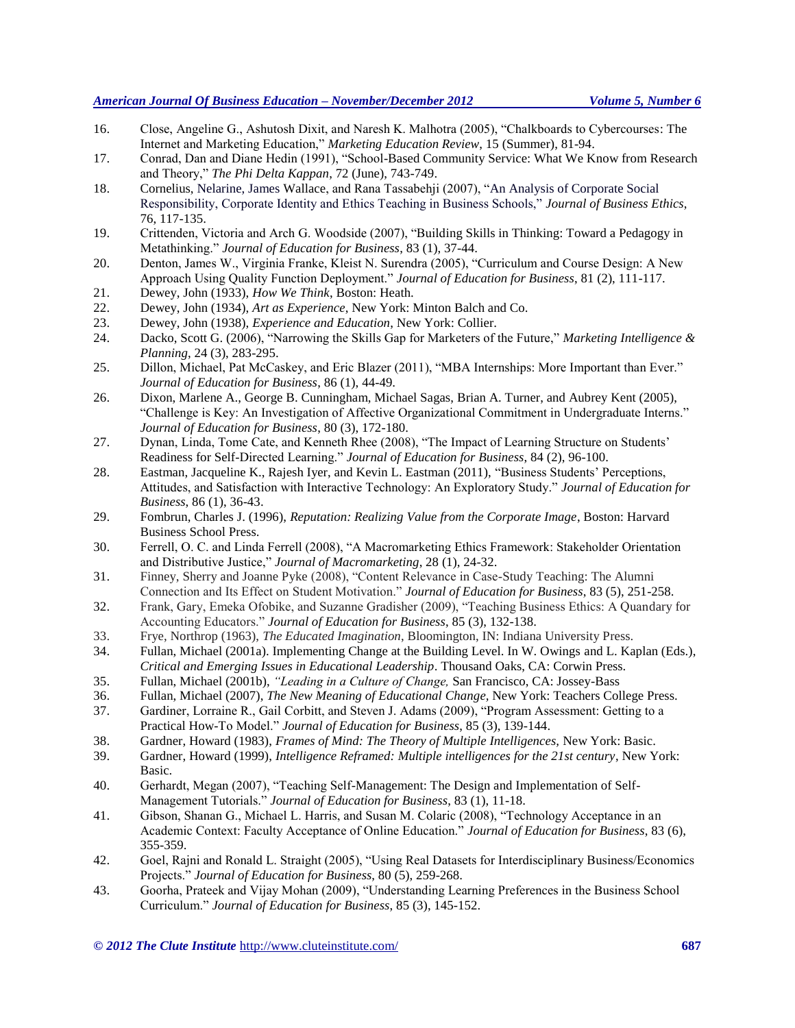- 16. Close, Angeline G., Ashutosh Dixit, and Naresh K. Malhotra (2005), "Chalkboards to Cybercourses: The Internet and Marketing Education," *Marketing Education Review*, 15 (Summer), 81-94.
- 17. Conrad, Dan and Diane Hedin (1991), "School-Based Community Service: What We Know from Research and Theory," *The Phi Delta Kappan*, 72 (June), 743-749.
- 18. Cornelius, Nelarine, James Wallace, and Rana Tassabehji (2007), "An Analysis of Corporate Social Responsibility, Corporate Identity and Ethics Teaching in Business Schools," *Journal of Business Ethics*, 76, 117-135.
- 19. Crittenden, Victoria and Arch G. Woodside (2007), "Building Skills in Thinking: Toward a Pedagogy in Metathinking." *Journal of Education for Business*, 83 (1), 37-44.
- 20. Denton, James W., Virginia Franke, Kleist N. Surendra (2005), "Curriculum and Course Design: A New Approach Using Quality Function Deployment." *Journal of Education for Business*, 81 (2), 111-117.
- 21. Dewey, John (1933), *How We Think*, Boston: Heath.
- 22. Dewey, John (1934), *Art as Experience*, New York: Minton Balch and Co.
- 23. Dewey, John (1938), *Experience and Education*, New York: Collier.
- 24. Dacko, Scott G. (2006), "Narrowing the Skills Gap for Marketers of the Future," *Marketing Intelligence & Planning*, 24 (3), 283-295.
- 25. Dillon, Michael, Pat McCaskey, and Eric Blazer (2011), "MBA Internships: More Important than Ever." *Journal of Education for Business*, 86 (1), 44-49.
- 26. Dixon, Marlene A., George B. Cunningham, Michael Sagas, Brian A. Turner, and Aubrey Kent (2005), "Challenge is Key: An Investigation of Affective Organizational Commitment in Undergraduate Interns." *Journal of Education for Business*, 80 (3), 172-180.
- 27. Dynan, Linda, Tome Cate, and Kenneth Rhee (2008), "The Impact of Learning Structure on Students' Readiness for Self-Directed Learning." *Journal of Education for Business*, 84 (2), 96-100.
- 28. Eastman, Jacqueline K., Rajesh Iyer, and Kevin L. Eastman (2011), "Business Students' Perceptions, Attitudes, and Satisfaction with Interactive Technology: An Exploratory Study." *Journal of Education for Business*, 86 (1), 36-43.
- 29. Fombrun, Charles J. (1996), *Reputation: Realizing Value from the Corporate Image*, Boston: Harvard Business School Press.
- 30. Ferrell, O. C. and Linda Ferrell (2008), "A Macromarketing Ethics Framework: Stakeholder Orientation and Distributive Justice," *Journal of Macromarketing*, 28 (1), 24-32.
- 31. Finney, Sherry and Joanne Pyke (2008), "Content Relevance in Case-Study Teaching: The Alumni Connection and Its Effect on Student Motivation." *Journal of Education for Business*, 83 (5), 251-258.
- 32. Frank, Gary, Emeka Ofobike, and Suzanne Gradisher (2009), "Teaching Business Ethics: A Quandary for Accounting Educators." *Journal of Education for Business*, 85 (3), 132-138.
- 33. Frye, Northrop (1963), *The Educated Imagination*, Bloomington, IN: Indiana University Press.
- 34. Fullan, Michael (2001a). Implementing Change at the Building Level. In W. Owings and L. Kaplan (Eds.), *Critical and Emerging Issues in Educational Leadership*. Thousand Oaks, CA: Corwin Press.
- 35. Fullan, Michael (2001b), *"Leading in a Culture of Change,* San Francisco, CA: Jossey-Bass
- 36. Fullan, Michael (2007), *The New Meaning of Educational Change,* New York: Teachers College Press.
- 37. Gardiner, Lorraine R., Gail Corbitt, and Steven J. Adams (2009), "Program Assessment: Getting to a Practical How-To Model." *Journal of Education for Business*, 85 (3), 139-144.
- 38. Gardner, Howard (1983), *Frames of Mind: The Theory of Multiple Intelligences,* New York: Basic.
- 39. Gardner, Howard (1999), *Intelligence Reframed: Multiple intelligences for the 21st century*, New York: Basic.
- 40. Gerhardt, Megan (2007), "Teaching Self-Management: The Design and Implementation of Self-Management Tutorials." *Journal of Education for Business*, 83 (1), 11-18.
- 41. Gibson, Shanan G., Michael L. Harris, and Susan M. Colaric (2008), "Technology Acceptance in an Academic Context: Faculty Acceptance of Online Education." *Journal of Education for Business*, 83 (6), 355-359.
- 42. Goel, Rajni and Ronald L. Straight (2005), "Using Real Datasets for Interdisciplinary Business/Economics Projects." *Journal of Education for Business*, 80 (5), 259-268.
- 43. Goorha, Prateek and Vijay Mohan (2009), "Understanding Learning Preferences in the Business School Curriculum." *Journal of Education for Business*, 85 (3), 145-152.

*© 2012 The Clute Institute* http://www.cluteinstitute.com/ **687**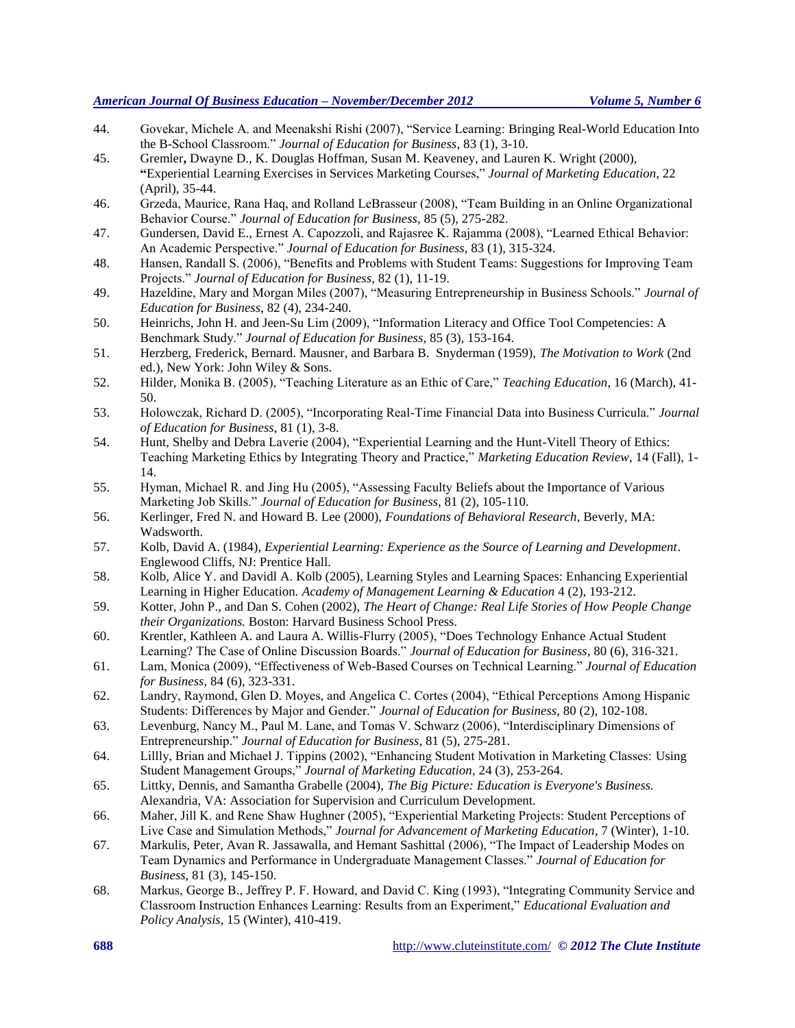- 44. Govekar, Michele A. and Meenakshi Rishi (2007), "Service Learning: Bringing Real-World Education Into the B-School Classroom." *Journal of Education for Business*, 83 (1), 3-10.
- 45. Gremler**,** Dwayne D., K. Douglas Hoffman, Susan M. Keaveney, and Lauren K. Wright (2000), **"**Experiential Learning Exercises in Services Marketing Courses," *Journal of Marketing Education*, 22 (April), 35-44.
- 46. Grzeda, Maurice, Rana Haq, and Rolland LeBrasseur (2008), "Team Building in an Online Organizational Behavior Course." *Journal of Education for Business*, 85 (5), 275-282.
- 47. Gundersen, David E., Ernest A. Capozzoli, and Rajasree K. Rajamma (2008), "Learned Ethical Behavior: An Academic Perspective." *Journal of Education for Business*, 83 (1), 315-324.
- 48. Hansen, Randall S. (2006), "Benefits and Problems with Student Teams: Suggestions for Improving Team Projects." *Journal of Education for Business*, 82 (1), 11-19.
- 49. Hazeldine, Mary and Morgan Miles (2007), "Measuring Entrepreneurship in Business Schools." *Journal of Education for Business*, 82 (4), 234-240.
- 50. Heinrichs, John H. and Jeen-Su Lim (2009), "Information Literacy and Office Tool Competencies: A Benchmark Study." *Journal of Education for Business*, 85 (3), 153-164.
- 51. Herzberg, Frederick, Bernard. Mausner, and Barbara B. Snyderman (1959), *The Motivation to Work* (2nd ed.), New York: John Wiley & Sons.
- 52. Hilder, Monika B. (2005), "Teaching Literature as an Ethic of Care," *Teaching Education*, 16 (March), 41- 50.
- 53. Holowczak, Richard D. (2005), "Incorporating Real-Time Financial Data into Business Curricula." *Journal of Education for Business*, 81 (1), 3-8.
- 54. Hunt, Shelby and Debra Laverie (2004), "Experiential Learning and the Hunt-Vitell Theory of Ethics: Teaching Marketing Ethics by Integrating Theory and Practice," *Marketing Education Review*, 14 (Fall), 1- 14.
- 55. Hyman, Michael R. and Jing Hu (2005), "Assessing Faculty Beliefs about the Importance of Various Marketing Job Skills." *Journal of Education for Business*, 81 (2), 105-110.
- 56. Kerlinger, Fred N. and Howard B. Lee (2000), *Foundations of Behavioral Research*, Beverly, MA: Wadsworth.
- 57. Kolb, David A. (1984), *Experiential Learning: Experience as the Source of Learning and Development*. Englewood Cliffs, NJ: Prentice Hall.
- 58. Kolb, Alice Y. and Davidl A. Kolb (2005), Learning Styles and Learning Spaces: Enhancing Experiential Learning in Higher Education. *Academy of Management Learning & Education* 4 (2), 193-212.
- 59. Kotter, John P., and Dan S. Cohen (2002), *The Heart of Change: Real Life Stories of How People Change their Organizations.* Boston: Harvard Business School Press.
- 60. Krentler, Kathleen A. and Laura A. Willis-Flurry (2005), "Does Technology Enhance Actual Student Learning? The Case of Online Discussion Boards." *Journal of Education for Business*, 80 (6), 316-321.
- 61. Lam, Monica (2009), "Effectiveness of Web-Based Courses on Technical Learning." *Journal of Education for Business*, 84 (6), 323-331.
- 62. Landry, Raymond, Glen D. Moyes, and Angelica C. Cortes (2004), "Ethical Perceptions Among Hispanic Students: Differences by Major and Gender." *Journal of Education for Business*, 80 (2), 102-108.
- 63. Levenburg, Nancy M., Paul M. Lane, and Tomas V. Schwarz (2006), "Interdisciplinary Dimensions of Entrepreneurship." *Journal of Education for Business*, 81 (5), 275-281.
- 64. Lillly, Brian and Michael J. Tippins (2002), "Enhancing Student Motivation in Marketing Classes: Using Student Management Groups," *Journal of Marketing Education*, 24 (3), 253-264.
- 65. Littky, Dennis, and Samantha Grabelle (2004), *The Big Picture: Education is Everyone's Business.*  Alexandria, VA: Association for Supervision and Curriculum Development.
- 66. Maher, Jill K. and Rene Shaw Hughner (2005), "Experiential Marketing Projects: Student Perceptions of Live Case and Simulation Methods," *Journal for Advancement of Marketing Education*, 7 (Winter), 1-10.
- 67. Markulis, Peter, Avan R. Jassawalla, and Hemant Sashittal (2006), "The Impact of Leadership Modes on Team Dynamics and Performance in Undergraduate Management Classes." *Journal of Education for Business*, 81 (3), 145-150.
- 68. Markus, George B., Jeffrey P. F. Howard, and David C. King (1993), "Integrating Community Service and Classroom Instruction Enhances Learning: Results from an Experiment," *Educational Evaluation and Policy Analysis*, 15 (Winter), 410-419.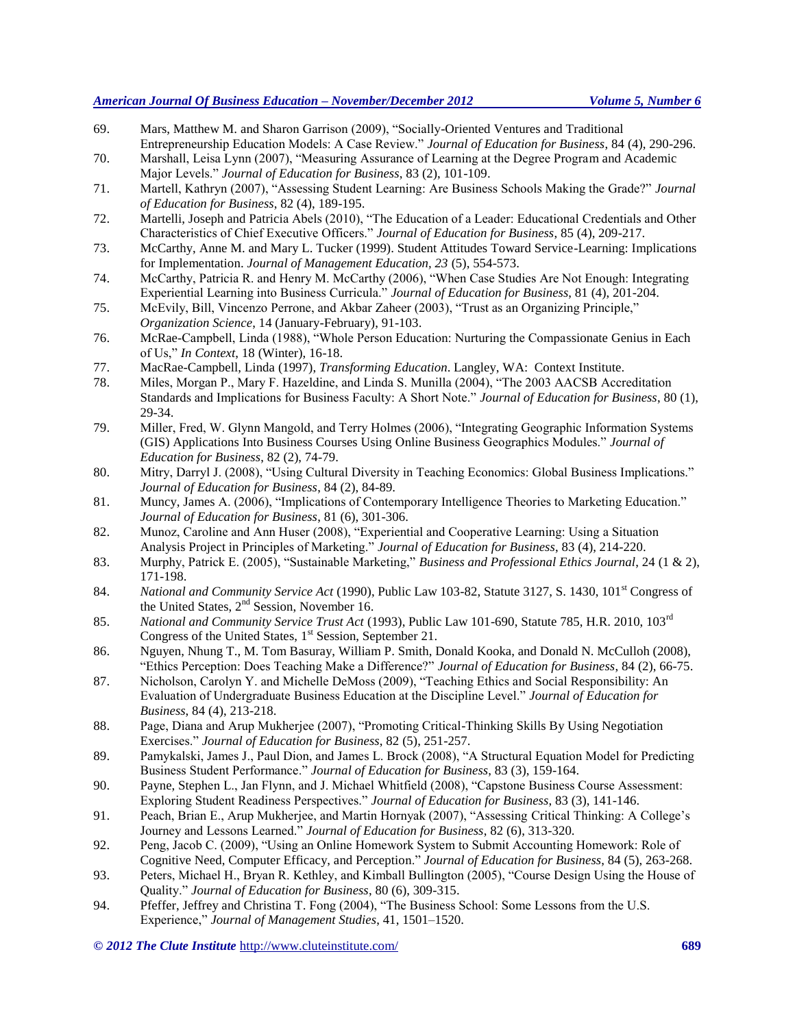- 69. Mars, Matthew M. and Sharon Garrison (2009), "Socially-Oriented Ventures and Traditional Entrepreneurship Education Models: A Case Review." *Journal of Education for Business*, 84 (4), 290-296.
- 70. Marshall, Leisa Lynn (2007), "Measuring Assurance of Learning at the Degree Program and Academic Major Levels." *Journal of Education for Business*, 83 (2), 101-109.
- 71. Martell, Kathryn (2007), "Assessing Student Learning: Are Business Schools Making the Grade?" *Journal of Education for Business*, 82 (4), 189-195.
- 72. Martelli, Joseph and Patricia Abels (2010), "The Education of a Leader: Educational Credentials and Other Characteristics of Chief Executive Officers." *Journal of Education for Business*, 85 (4), 209-217.
- 73. McCarthy, Anne M. and Mary L. Tucker (1999). Student Attitudes Toward Service-Learning: Implications for Implementation. *Journal of Management Education, 23* (5), 554-573.
- 74. McCarthy, Patricia R. and Henry M. McCarthy (2006), "When Case Studies Are Not Enough: Integrating Experiential Learning into Business Curricula." *Journal of Education for Business*, 81 (4), 201-204.
- 75. McEvily, Bill, Vincenzo Perrone, and Akbar Zaheer (2003), "Trust as an Organizing Principle," *Organization Science*, 14 (January-February), 91-103.
- 76. McRae-Campbell, Linda (1988), "Whole Person Education: Nurturing the Compassionate Genius in Each of Us," *In Context*, 18 (Winter), 16-18.
- 77. MacRae-Campbell, Linda (1997), *Transforming Education*. Langley, WA: Context Institute.
- 78. Miles, Morgan P., Mary F. Hazeldine, and Linda S. Munilla (2004), "The 2003 AACSB Accreditation Standards and Implications for Business Faculty: A Short Note." *Journal of Education for Business*, 80 (1), 29-34.
- 79. Miller, Fred, W. Glynn Mangold, and Terry Holmes (2006), "Integrating Geographic Information Systems (GIS) Applications Into Business Courses Using Online Business Geographics Modules." *Journal of Education for Business*, 82 (2), 74-79.
- 80. Mitry, Darryl J. (2008), "Using Cultural Diversity in Teaching Economics: Global Business Implications." *Journal of Education for Business*, 84 (2), 84-89.
- 81. Muncy, James A. (2006), "Implications of Contemporary Intelligence Theories to Marketing Education." *Journal of Education for Business*, 81 (6), 301-306.
- 82. Munoz, Caroline and Ann Huser (2008), "Experiential and Cooperative Learning: Using a Situation Analysis Project in Principles of Marketing." *Journal of Education for Business*, 83 (4), 214-220.
- 83. Murphy, Patrick E. (2005), "Sustainable Marketing," *Business and Professional Ethics Journal*, 24 (1 & 2), 171-198.
- 84. National and Community Service Act (1990), Public Law 103-82, Statute 3127, S. 1430, 101<sup>st</sup> Congress of the United States, 2<sup>nd</sup> Session, November 16.
- 85. *National and Community Service Trust Act* (1993), Public Law 101-690, Statute 785, H.R. 2010, 103rd Congress of the United States, 1<sup>st</sup> Session, September 21.
- 86. Nguyen, Nhung T., M. Tom Basuray, William P. Smith, Donald Kooka, and Donald N. McCulloh (2008), "Ethics Perception: Does Teaching Make a Difference?" *Journal of Education for Business*, 84 (2), 66-75.
- 87. Nicholson, Carolyn Y. and Michelle DeMoss (2009), "Teaching Ethics and Social Responsibility: An Evaluation of Undergraduate Business Education at the Discipline Level." *Journal of Education for Business*, 84 (4), 213-218.
- 88. Page, Diana and Arup Mukherjee (2007), "Promoting Critical-Thinking Skills By Using Negotiation Exercises." *Journal of Education for Business*, 82 (5), 251-257.
- 89. Pamykalski, James J., Paul Dion, and James L. Brock (2008), "A Structural Equation Model for Predicting Business Student Performance." *Journal of Education for Business*, 83 (3), 159-164.
- 90. Payne, Stephen L., Jan Flynn, and J. Michael Whitfield (2008), "Capstone Business Course Assessment: Exploring Student Readiness Perspectives." *Journal of Education for Business*, 83 (3), 141-146.
- 91. Peach, Brian E., Arup Mukherjee, and Martin Hornyak (2007), "Assessing Critical Thinking: A College's Journey and Lessons Learned." *Journal of Education for Business*, 82 (6), 313-320.
- 92. Peng, Jacob C. (2009), "Using an Online Homework System to Submit Accounting Homework: Role of Cognitive Need, Computer Efficacy, and Perception." *Journal of Education for Business*, 84 (5), 263-268.
- 93. Peters, Michael H., Bryan R. Kethley, and Kimball Bullington (2005), "Course Design Using the House of Quality." *Journal of Education for Business*, 80 (6), 309-315.
- 94. Pfeffer, Jeffrey and Christina T. Fong (2004), "The Business School: Some Lessons from the U.S. Experience," *Journal of Management Studies*, 41, 1501–1520.

*© 2012 The Clute Institute* http://www.cluteinstitute.com/ **689**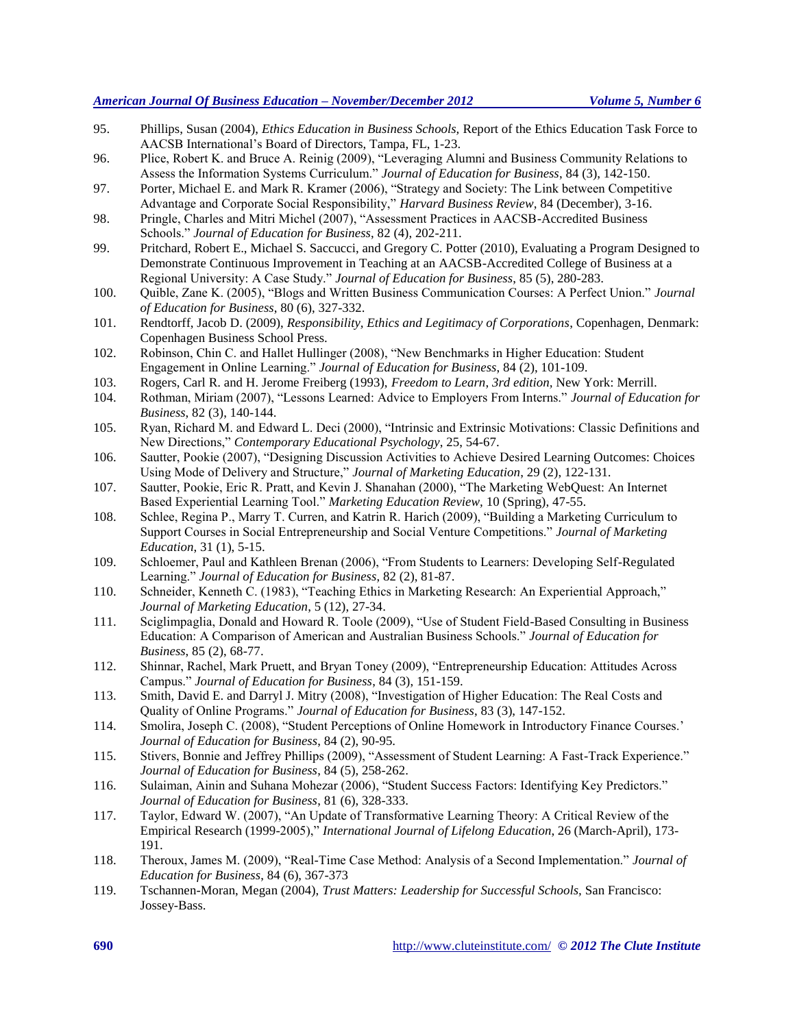- 95. Phillips, Susan (2004), *Ethics Education in Business Schools,* Report of the Ethics Education Task Force to AACSB International's Board of Directors, Tampa, FL, 1-23.
- 96. Plice, Robert K. and Bruce A. Reinig (2009), "Leveraging Alumni and Business Community Relations to Assess the Information Systems Curriculum." *Journal of Education for Business*, 84 (3), 142-150.
- 97. Porter, Michael E. and Mark R. Kramer (2006), "Strategy and Society: The Link between Competitive Advantage and Corporate Social Responsibility," *Harvard Business Review*, 84 (December), 3-16.
- 98. Pringle, Charles and Mitri Michel (2007), "Assessment Practices in AACSB-Accredited Business Schools." *Journal of Education for Business*, 82 (4), 202-211.
- 99. Pritchard, Robert E., Michael S. Saccucci, and Gregory C. Potter (2010), Evaluating a Program Designed to Demonstrate Continuous Improvement in Teaching at an AACSB-Accredited College of Business at a Regional University: A Case Study." *Journal of Education for Business*, 85 (5), 280-283.
- 100. Quible, Zane K. (2005), "Blogs and Written Business Communication Courses: A Perfect Union." *Journal of Education for Business*, 80 (6), 327-332.
- 101. Rendtorff, Jacob D. (2009), *Responsibility, Ethics and Legitimacy of Corporations*, Copenhagen, Denmark: Copenhagen Business School Press.
- 102. Robinson, Chin C. and Hallet Hullinger (2008), "New Benchmarks in Higher Education: Student Engagement in Online Learning." *Journal of Education for Business*, 84 (2), 101-109.
- 103. Rogers, Carl R. and H. Jerome Freiberg (1993), *Freedom to Learn*, *3rd edition,* New York: Merrill.
- 104. Rothman, Miriam (2007), "Lessons Learned: Advice to Employers From Interns." *Journal of Education for Business*, 82 (3), 140-144.
- 105. Ryan, Richard M. and Edward L. Deci (2000), "Intrinsic and Extrinsic Motivations: Classic Definitions and New Directions," *Contemporary Educational Psychology*, 25, 54-67.
- 106. Sautter, Pookie (2007), "Designing Discussion Activities to Achieve Desired Learning Outcomes: Choices Using Mode of Delivery and Structure," *Journal of Marketing Education*, 29 (2), 122-131.
- 107. Sautter, Pookie, Eric R. Pratt, and Kevin J. Shanahan (2000), "The Marketing WebQuest: An Internet Based Experiential Learning Tool." *Marketing Education Review,* 10 (Spring), 47-55.
- 108. Schlee, Regina P., Marry T. Curren, and Katrin R. Harich (2009), "Building a Marketing Curriculum to Support Courses in Social Entrepreneurship and Social Venture Competitions." *Journal of Marketing Education*, 31 (1), 5-15.
- 109. Schloemer, Paul and Kathleen Brenan (2006), "From Students to Learners: Developing Self-Regulated Learning." *Journal of Education for Business*, 82 (2), 81-87.
- 110. Schneider, Kenneth C. (1983), "Teaching Ethics in Marketing Research: An Experiential Approach," *Journal of Marketing Education*, 5 (12), 27-34.
- 111. Sciglimpaglia, Donald and Howard R. Toole (2009), "Use of Student Field-Based Consulting in Business Education: A Comparison of American and Australian Business Schools." *Journal of Education for Business*, 85 (2), 68-77.
- 112. Shinnar, Rachel, Mark Pruett, and Bryan Toney (2009), "Entrepreneurship Education: Attitudes Across Campus." *Journal of Education for Business*, 84 (3), 151-159.
- 113. Smith, David E. and Darryl J. Mitry (2008), "Investigation of Higher Education: The Real Costs and Quality of Online Programs." *Journal of Education for Business*, 83 (3), 147-152.
- 114. Smolira, Joseph C. (2008), "Student Perceptions of Online Homework in Introductory Finance Courses.' *Journal of Education for Business*, 84 (2), 90-95.
- 115. Stivers, Bonnie and Jeffrey Phillips (2009), "Assessment of Student Learning: A Fast-Track Experience." *Journal of Education for Business*, 84 (5), 258-262.
- 116. Sulaiman, Ainin and Suhana Mohezar (2006), "Student Success Factors: Identifying Key Predictors." *Journal of Education for Business*, 81 (6), 328-333.
- 117. Taylor, Edward W. (2007), "An Update of Transformative Learning Theory: A Critical Review of the Empirical Research (1999-2005)," *International Journal of Lifelong Education*, 26 (March-April), 173- 191.
- 118. Theroux, James M. (2009), "Real-Time Case Method: Analysis of a Second Implementation." *Journal of Education for Business*, 84 (6), 367-373
- 119. Tschannen-Moran, Megan (2004), *Trust Matters: Leadership for Successful Schools,* San Francisco: Jossey-Bass.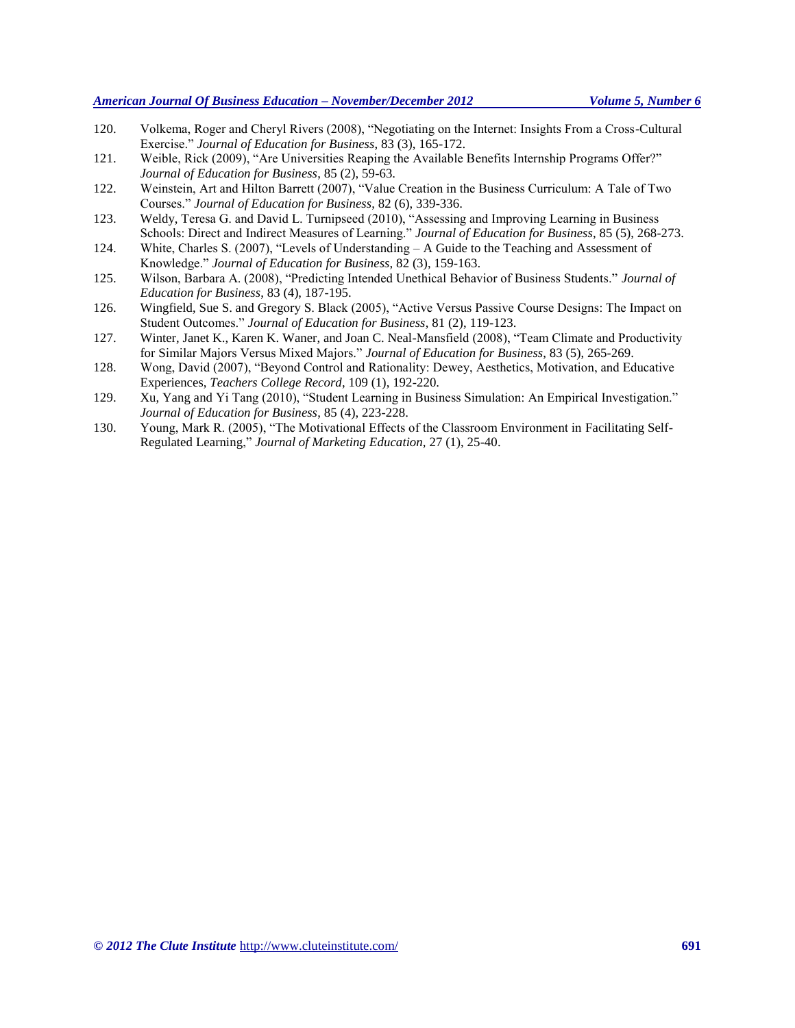- 120. Volkema, Roger and Cheryl Rivers (2008), "Negotiating on the Internet: Insights From a Cross-Cultural Exercise." *Journal of Education for Business*, 83 (3), 165-172.
- 121. Weible, Rick (2009), "Are Universities Reaping the Available Benefits Internship Programs Offer?" *Journal of Education for Business*, 85 (2), 59-63.
- 122. Weinstein, Art and Hilton Barrett (2007), "Value Creation in the Business Curriculum: A Tale of Two Courses." *Journal of Education for Business*, 82 (6), 339-336.
- 123. Weldy, Teresa G. and David L. Turnipseed (2010), "Assessing and Improving Learning in Business Schools: Direct and Indirect Measures of Learning." *Journal of Education for Business*, 85 (5), 268-273.
- 124. White, Charles S. (2007), "Levels of Understanding A Guide to the Teaching and Assessment of Knowledge." *Journal of Education for Business*, 82 (3), 159-163.
- 125. Wilson, Barbara A. (2008), "Predicting Intended Unethical Behavior of Business Students." *Journal of Education for Business*, 83 (4), 187-195.
- 126. Wingfield, Sue S. and Gregory S. Black (2005), "Active Versus Passive Course Designs: The Impact on Student Outcomes." *Journal of Education for Business*, 81 (2), 119-123.
- 127. Winter, Janet K., Karen K. Waner, and Joan C. Neal-Mansfield (2008), "Team Climate and Productivity for Similar Majors Versus Mixed Majors." *Journal of Education for Business*, 83 (5), 265-269.
- 128. Wong, David (2007), "Beyond Control and Rationality: Dewey, Aesthetics, Motivation, and Educative Experiences, *Teachers College Record*, 109 (1), 192-220.
- 129. Xu, Yang and Yi Tang (2010), "Student Learning in Business Simulation: An Empirical Investigation." *Journal of Education for Business*, 85 (4), 223-228.
- 130. Young, Mark R. (2005), "The Motivational Effects of the Classroom Environment in Facilitating Self-Regulated Learning," *Journal of Marketing Education,* 27 (1), 25-40.